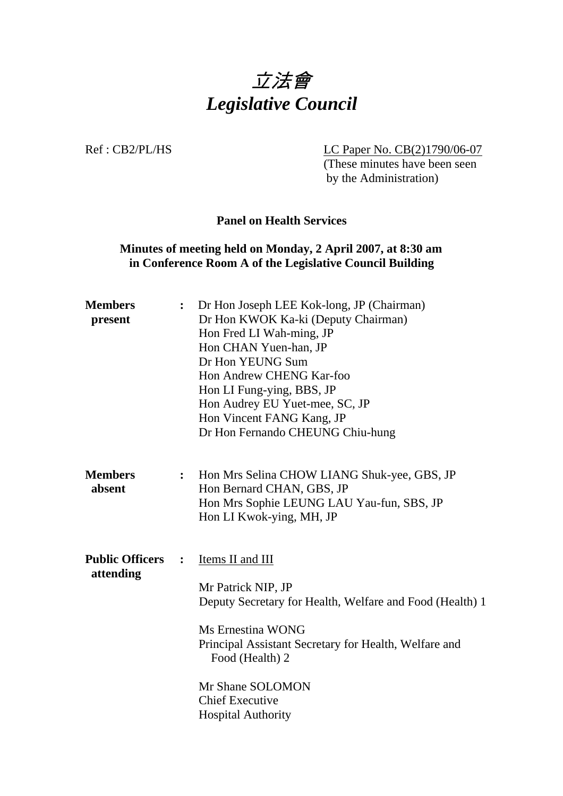

Ref : CB2/PL/HS LC Paper No. CB(2)1790/06-07

 (These minutes have been seen by the Administration)

### **Panel on Health Services**

# **Minutes of meeting held on Monday, 2 April 2007, at 8:30 am in Conference Room A of the Legislative Council Building**

| <b>Members</b><br>present           | $\ddot{\bullet}$ | Dr Hon Joseph LEE Kok-long, JP (Chairman)<br>Dr Hon KWOK Ka-ki (Deputy Chairman)<br>Hon Fred LI Wah-ming, JP<br>Hon CHAN Yuen-han, JP<br>Dr Hon YEUNG Sum<br>Hon Andrew CHENG Kar-foo<br>Hon LI Fung-ying, BBS, JP<br>Hon Audrey EU Yuet-mee, SC, JP<br>Hon Vincent FANG Kang, JP<br>Dr Hon Fernando CHEUNG Chiu-hung |
|-------------------------------------|------------------|-----------------------------------------------------------------------------------------------------------------------------------------------------------------------------------------------------------------------------------------------------------------------------------------------------------------------|
| <b>Members</b><br>absent            | $\ddot{\cdot}$   | Hon Mrs Selina CHOW LIANG Shuk-yee, GBS, JP<br>Hon Bernard CHAN, GBS, JP<br>Hon Mrs Sophie LEUNG LAU Yau-fun, SBS, JP<br>Hon LI Kwok-ying, MH, JP                                                                                                                                                                     |
| <b>Public Officers</b><br>attending | $\ddot{\cdot}$   | Items II and III<br>Mr Patrick NIP, JP<br>Deputy Secretary for Health, Welfare and Food (Health) 1<br><b>Ms Ernestina WONG</b><br>Principal Assistant Secretary for Health, Welfare and<br>Food (Health) 2<br>Mr Shane SOLOMON<br><b>Chief Executive</b><br><b>Hospital Authority</b>                                 |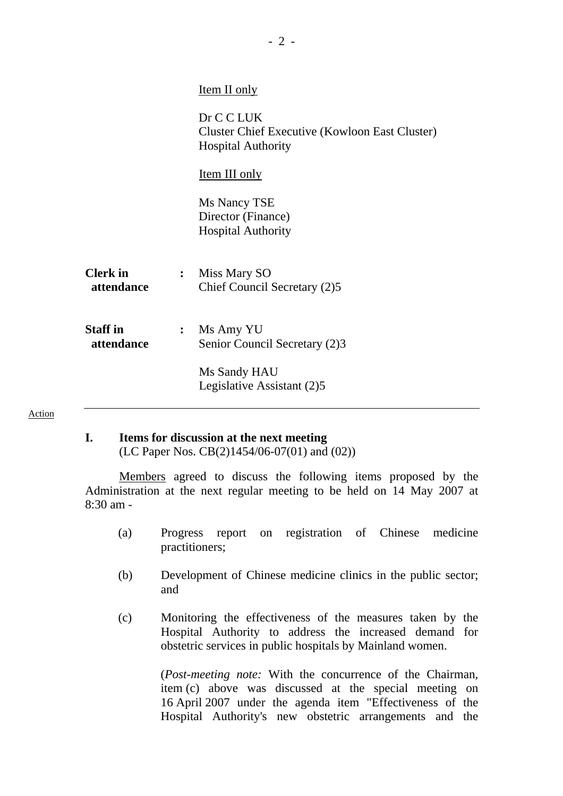| <u>Item II only</u>                                                                              |
|--------------------------------------------------------------------------------------------------|
| Dr C C LUK<br><b>Cluster Chief Executive (Kowloon East Cluster)</b><br><b>Hospital Authority</b> |
| <u>Item III only</u>                                                                             |
| Ms Nancy TSE<br>Director (Finance)<br><b>Hospital Authority</b>                                  |
| : Miss Mary SO<br>Chief Council Secretary (2)5                                                   |
| $:$ Ms Amy YU<br>Senior Council Secretary (2)3                                                   |
| Ms Sandy HAU<br>Legislative Assistant (2)5                                                       |
|                                                                                                  |

## **I. Items for discussion at the next meeting**

Action

(LC Paper Nos. CB(2)1454/06-07(01) and (02))

 Members agreed to discuss the following items proposed by the Administration at the next regular meeting to be held on 14 May 2007 at 8:30 am -

- (a) Progress report on registration of Chinese medicine practitioners;
- (b) Development of Chinese medicine clinics in the public sector; and
- (c) Monitoring the effectiveness of the measures taken by the Hospital Authority to address the increased demand for obstetric services in public hospitals by Mainland women.

 (*Post-meeting note:* With the concurrence of the Chairman, item (c) above was discussed at the special meeting on 16 April 2007 under the agenda item "Effectiveness of the Hospital Authority's new obstetric arrangements and the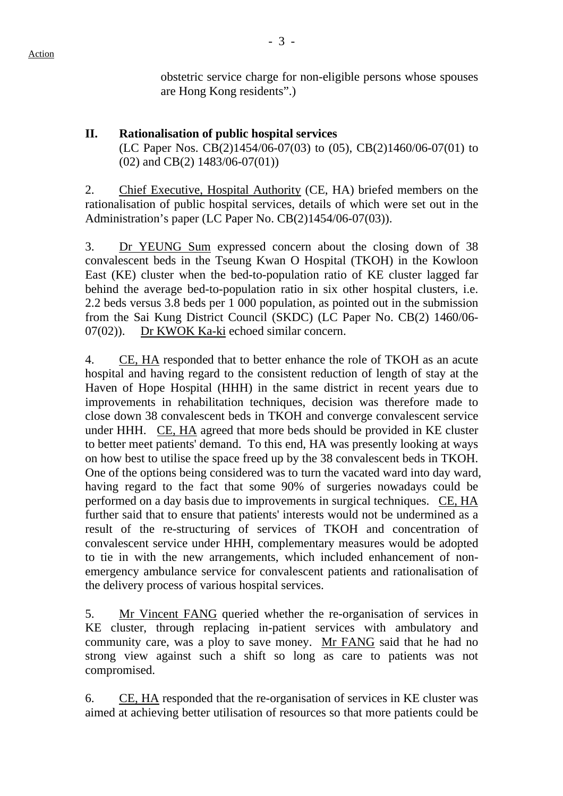obstetric service charge for non-eligible persons whose spouses are Hong Kong residents".)

# **II. Rationalisation of public hospital services**  (LC Paper Nos. CB(2)1454/06-07(03) to (05), CB(2)1460/06-07(01) to (02) and CB(2) 1483/06-07(01))

2. Chief Executive, Hospital Authority (CE, HA) briefed members on the rationalisation of public hospital services, details of which were set out in the Administration's paper (LC Paper No. CB(2)1454/06-07(03)).

3. Dr YEUNG Sum expressed concern about the closing down of 38 convalescent beds in the Tseung Kwan O Hospital (TKOH) in the Kowloon East (KE) cluster when the bed-to-population ratio of KE cluster lagged far behind the average bed-to-population ratio in six other hospital clusters, i.e. 2.2 beds versus 3.8 beds per 1 000 population, as pointed out in the submission from the Sai Kung District Council (SKDC) (LC Paper No. CB(2) 1460/06- 07(02)). Dr KWOK Ka-ki echoed similar concern.

4. CE, HA responded that to better enhance the role of TKOH as an acute hospital and having regard to the consistent reduction of length of stay at the Haven of Hope Hospital (HHH) in the same district in recent years due to improvements in rehabilitation techniques, decision was therefore made to close down 38 convalescent beds in TKOH and converge convalescent service under HHH. CE, HA agreed that more beds should be provided in KE cluster to better meet patients' demand. To this end, HA was presently looking at ways on how best to utilise the space freed up by the 38 convalescent beds in TKOH. One of the options being considered was to turn the vacated ward into day ward, having regard to the fact that some 90% of surgeries nowadays could be performed on a day basis due to improvements in surgical techniques. CE, HA further said that to ensure that patients' interests would not be undermined as a result of the re-structuring of services of TKOH and concentration of convalescent service under HHH, complementary measures would be adopted to tie in with the new arrangements, which included enhancement of nonemergency ambulance service for convalescent patients and rationalisation of the delivery process of various hospital services.

5. Mr Vincent FANG queried whether the re-organisation of services in KE cluster, through replacing in-patient services with ambulatory and community care, was a ploy to save money. Mr FANG said that he had no strong view against such a shift so long as care to patients was not compromised.

6. CE, HA responded that the re-organisation of services in KE cluster was aimed at achieving better utilisation of resources so that more patients could be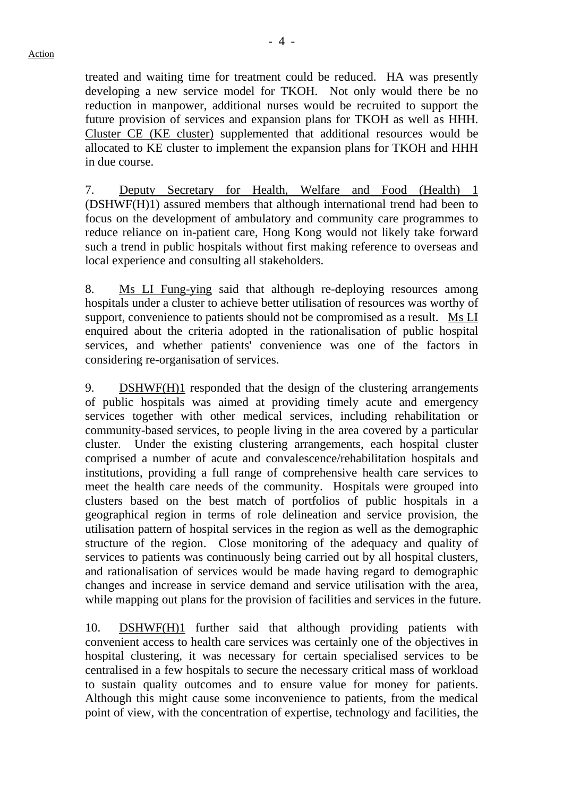treated and waiting time for treatment could be reduced. HA was presently developing a new service model for TKOH. Not only would there be no reduction in manpower, additional nurses would be recruited to support the future provision of services and expansion plans for TKOH as well as HHH. Cluster CE (KE cluster) supplemented that additional resources would be allocated to KE cluster to implement the expansion plans for TKOH and HHH in due course.

7. Deputy Secretary for Health, Welfare and Food (Health) 1 (DSHWF(H)1) assured members that although international trend had been to focus on the development of ambulatory and community care programmes to reduce reliance on in-patient care, Hong Kong would not likely take forward such a trend in public hospitals without first making reference to overseas and local experience and consulting all stakeholders.

8. Ms LI Fung-ying said that although re-deploying resources among hospitals under a cluster to achieve better utilisation of resources was worthy of support, convenience to patients should not be compromised as a result. Ms LI enquired about the criteria adopted in the rationalisation of public hospital services, and whether patients' convenience was one of the factors in considering re-organisation of services.

9. DSHWF(H)1 responded that the design of the clustering arrangements of public hospitals was aimed at providing timely acute and emergency services together with other medical services, including rehabilitation or community-based services, to people living in the area covered by a particular cluster. Under the existing clustering arrangements, each hospital cluster comprised a number of acute and convalescence/rehabilitation hospitals and institutions, providing a full range of comprehensive health care services to meet the health care needs of the community. Hospitals were grouped into clusters based on the best match of portfolios of public hospitals in a geographical region in terms of role delineation and service provision, the utilisation pattern of hospital services in the region as well as the demographic structure of the region. Close monitoring of the adequacy and quality of services to patients was continuously being carried out by all hospital clusters, and rationalisation of services would be made having regard to demographic changes and increase in service demand and service utilisation with the area, while mapping out plans for the provision of facilities and services in the future.

10. DSHWF(H)1 further said that although providing patients with convenient access to health care services was certainly one of the objectives in hospital clustering, it was necessary for certain specialised services to be centralised in a few hospitals to secure the necessary critical mass of workload to sustain quality outcomes and to ensure value for money for patients. Although this might cause some inconvenience to patients, from the medical point of view, with the concentration of expertise, technology and facilities, the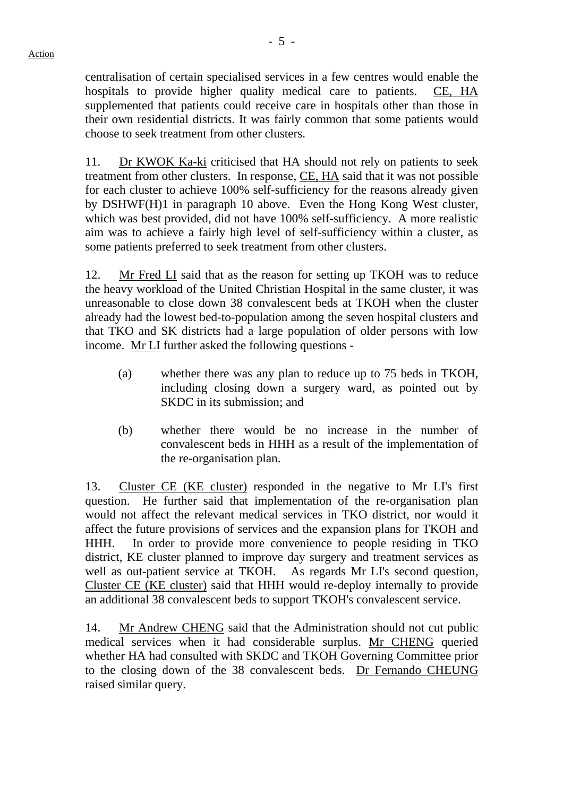- 5 -

centralisation of certain specialised services in a few centres would enable the hospitals to provide higher quality medical care to patients. CE, HA supplemented that patients could receive care in hospitals other than those in their own residential districts. It was fairly common that some patients would choose to seek treatment from other clusters.

11. Dr KWOK Ka-ki criticised that HA should not rely on patients to seek treatment from other clusters. In response, CE, HA said that it was not possible for each cluster to achieve 100% self-sufficiency for the reasons already given by DSHWF(H)1 in paragraph 10 above. Even the Hong Kong West cluster, which was best provided, did not have 100% self-sufficiency. A more realistic aim was to achieve a fairly high level of self-sufficiency within a cluster, as some patients preferred to seek treatment from other clusters.

12. Mr Fred LI said that as the reason for setting up TKOH was to reduce the heavy workload of the United Christian Hospital in the same cluster, it was unreasonable to close down 38 convalescent beds at TKOH when the cluster already had the lowest bed-to-population among the seven hospital clusters and that TKO and SK districts had a large population of older persons with low income. Mr LI further asked the following questions -

- (a) whether there was any plan to reduce up to 75 beds in TKOH, including closing down a surgery ward, as pointed out by SKDC in its submission; and
- (b) whether there would be no increase in the number of convalescent beds in HHH as a result of the implementation of the re-organisation plan.

13. Cluster CE (KE cluster) responded in the negative to Mr LI's first question. He further said that implementation of the re-organisation plan would not affect the relevant medical services in TKO district, nor would it affect the future provisions of services and the expansion plans for TKOH and HHH. In order to provide more convenience to people residing in TKO district, KE cluster planned to improve day surgery and treatment services as well as out-patient service at TKOH. As regards Mr LI's second question, Cluster CE (KE cluster) said that HHH would re-deploy internally to provide an additional 38 convalescent beds to support TKOH's convalescent service.

14. Mr Andrew CHENG said that the Administration should not cut public medical services when it had considerable surplus. Mr CHENG queried whether HA had consulted with SKDC and TKOH Governing Committee prior to the closing down of the 38 convalescent beds. Dr Fernando CHEUNG raised similar query.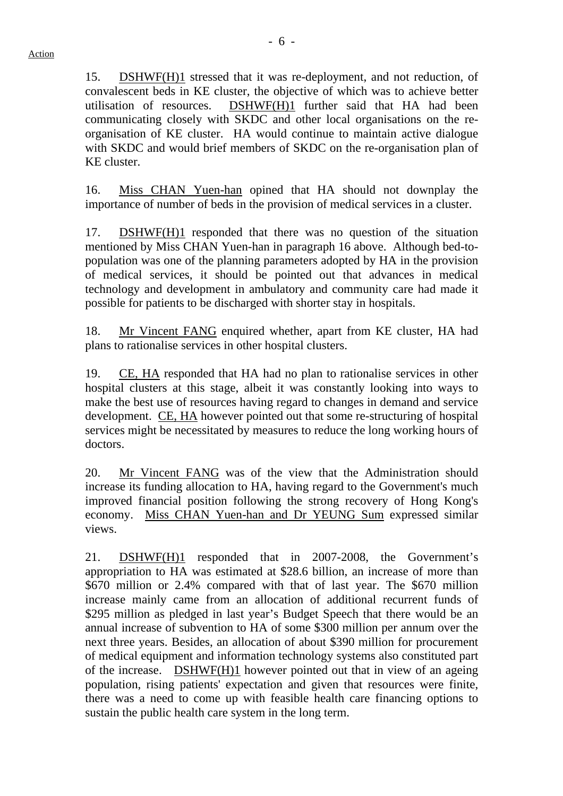15. DSHWF(H)1 stressed that it was re-deployment, and not reduction, of convalescent beds in KE cluster, the objective of which was to achieve better utilisation of resources. DSHWF(H)1 further said that HA had been communicating closely with SKDC and other local organisations on the reorganisation of KE cluster. HA would continue to maintain active dialogue with SKDC and would brief members of SKDC on the re-organisation plan of KE cluster.

16. Miss CHAN Yuen-han opined that HA should not downplay the importance of number of beds in the provision of medical services in a cluster.

17. DSHWF(H)1 responded that there was no question of the situation mentioned by Miss CHAN Yuen-han in paragraph 16 above. Although bed-topopulation was one of the planning parameters adopted by HA in the provision of medical services, it should be pointed out that advances in medical technology and development in ambulatory and community care had made it possible for patients to be discharged with shorter stay in hospitals.

18. Mr Vincent FANG enquired whether, apart from KE cluster, HA had plans to rationalise services in other hospital clusters.

19. CE, HA responded that HA had no plan to rationalise services in other hospital clusters at this stage, albeit it was constantly looking into ways to make the best use of resources having regard to changes in demand and service development. CE, HA however pointed out that some re-structuring of hospital services might be necessitated by measures to reduce the long working hours of doctors.

20. Mr Vincent FANG was of the view that the Administration should increase its funding allocation to HA, having regard to the Government's much improved financial position following the strong recovery of Hong Kong's economy. Miss CHAN Yuen-han and Dr YEUNG Sum expressed similar views.

21. DSHWF(H)1 responded that in 2007-2008, the Government's appropriation to HA was estimated at \$28.6 billion, an increase of more than \$670 million or 2.4% compared with that of last year. The \$670 million increase mainly came from an allocation of additional recurrent funds of \$295 million as pledged in last year's Budget Speech that there would be an annual increase of subvention to HA of some \$300 million per annum over the next three years. Besides, an allocation of about \$390 million for procurement of medical equipment and information technology systems also constituted part of the increase. DSHWF(H)1 however pointed out that in view of an ageing population, rising patients' expectation and given that resources were finite, there was a need to come up with feasible health care financing options to sustain the public health care system in the long term.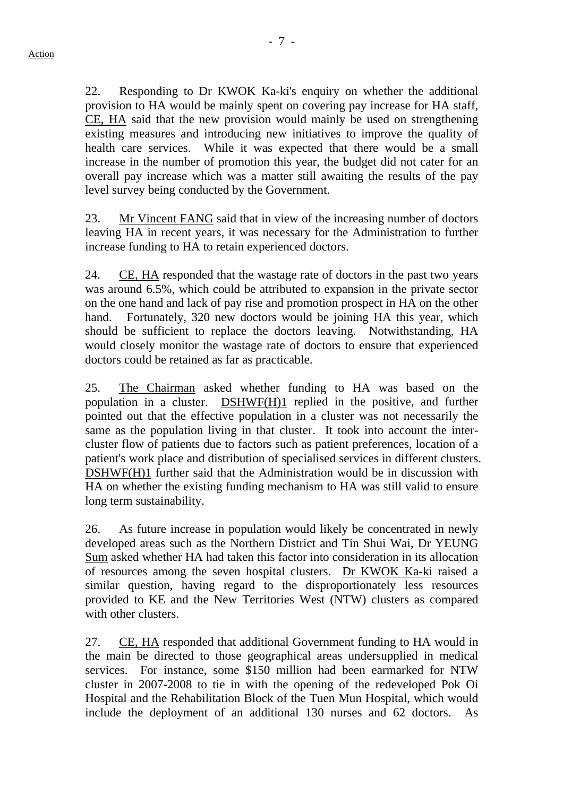22. Responding to Dr KWOK Ka-ki's enquiry on whether the additional provision to HA would be mainly spent on covering pay increase for HA staff, CE, HA said that the new provision would mainly be used on strengthening existing measures and introducing new initiatives to improve the quality of health care services. While it was expected that there would be a small increase in the number of promotion this year, the budget did not cater for an overall pay increase which was a matter still awaiting the results of the pay level survey being conducted by the Government.

23. Mr Vincent FANG said that in view of the increasing number of doctors leaving HA in recent years, it was necessary for the Administration to further increase funding to HA to retain experienced doctors.

24. CE, HA responded that the wastage rate of doctors in the past two years was around 6.5%, which could be attributed to expansion in the private sector on the one hand and lack of pay rise and promotion prospect in HA on the other hand. Fortunately, 320 new doctors would be joining HA this year, which should be sufficient to replace the doctors leaving. Notwithstanding, HA would closely monitor the wastage rate of doctors to ensure that experienced doctors could be retained as far as practicable.

25. The Chairman asked whether funding to HA was based on the population in a cluster. DSHWF(H)1 replied in the positive, and further pointed out that the effective population in a cluster was not necessarily the same as the population living in that cluster. It took into account the intercluster flow of patients due to factors such as patient preferences, location of a patient's work place and distribution of specialised services in different clusters. DSHWF(H)1 further said that the Administration would be in discussion with HA on whether the existing funding mechanism to HA was still valid to ensure long term sustainability.

26. As future increase in population would likely be concentrated in newly developed areas such as the Northern District and Tin Shui Wai, Dr YEUNG Sum asked whether HA had taken this factor into consideration in its allocation of resources among the seven hospital clusters. Dr KWOK Ka-ki raised a similar question, having regard to the disproportionately less resources provided to KE and the New Territories West (NTW) clusters as compared with other clusters.

27. CE, HA responded that additional Government funding to HA would in the main be directed to those geographical areas undersupplied in medical services. For instance, some \$150 million had been earmarked for NTW cluster in 2007-2008 to tie in with the opening of the redeveloped Pok Oi Hospital and the Rehabilitation Block of the Tuen Mun Hospital, which would include the deployment of an additional 130 nurses and 62 doctors. As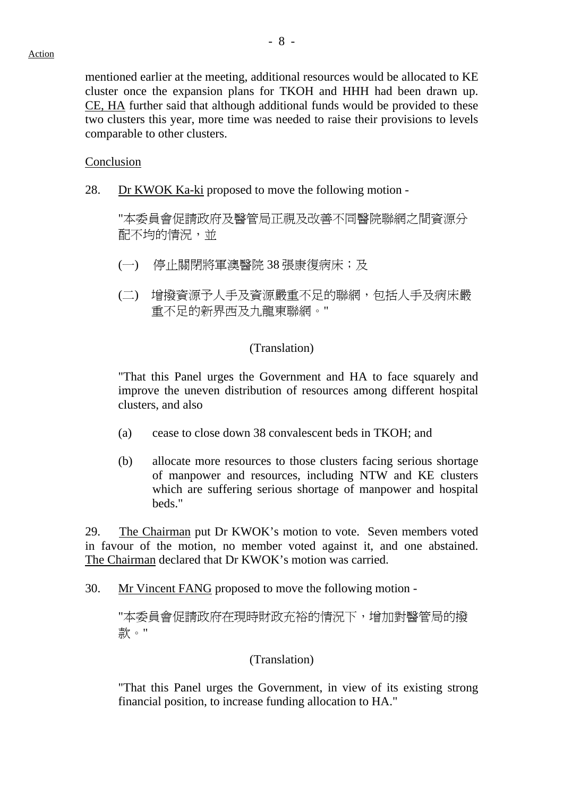mentioned earlier at the meeting, additional resources would be allocated to KE cluster once the expansion plans for TKOH and HHH had been drawn up. CE, HA further said that although additional funds would be provided to these two clusters this year, more time was needed to raise their provisions to levels comparable to other clusters.

#### **Conclusion**

28. Dr KWOK Ka-ki proposed to move the following motion -

"本委員會促請政府及醫管局正視及改善不同醫院聯網之間資源分 配不均的情況,並

- (一) 停止關閉將軍澳醫院 38 張康復病床;及
- (二) 增撥資源予人手及資源嚴重不足的聯網,包括人手及病床嚴 重不足的新界西及九龍東聯網。"

### (Translation)

"That this Panel urges the Government and HA to face squarely and improve the uneven distribution of resources among different hospital clusters, and also

- (a) cease to close down 38 convalescent beds in TKOH; and
- (b) allocate more resources to those clusters facing serious shortage of manpower and resources, including NTW and KE clusters which are suffering serious shortage of manpower and hospital beds."

29. The Chairman put Dr KWOK's motion to vote. Seven members voted in favour of the motion, no member voted against it, and one abstained. The Chairman declared that Dr KWOK's motion was carried.

30. Mr Vincent FANG proposed to move the following motion -

"本委員會促請政府在現時財政充裕的情況下,增加對醫管局的撥 款。"

## (Translation)

"That this Panel urges the Government, in view of its existing strong financial position, to increase funding allocation to HA."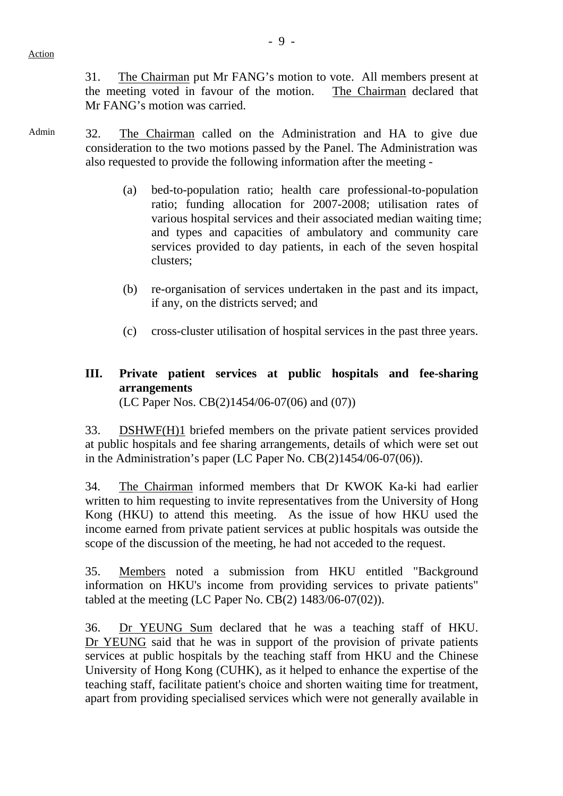31. The Chairman put Mr FANG's motion to vote. All members present at the meeting voted in favour of the motion. The Chairman declared that Mr FANG's motion was carried.

- Admin 32. The Chairman called on the Administration and HA to give due consideration to the two motions passed by the Panel. The Administration was also requested to provide the following information after the meeting -
	- (a) bed-to-population ratio; health care professional-to-population ratio; funding allocation for 2007-2008; utilisation rates of various hospital services and their associated median waiting time; and types and capacities of ambulatory and community care services provided to day patients, in each of the seven hospital clusters;
	- (b) re-organisation of services undertaken in the past and its impact, if any, on the districts served; and
	- (c) cross-cluster utilisation of hospital services in the past three years.

## **III. Private patient services at public hospitals and fee-sharing arrangements**  (LC Paper Nos. CB(2)1454/06-07(06) and (07))

33. DSHWF(H)1 briefed members on the private patient services provided at public hospitals and fee sharing arrangements, details of which were set out in the Administration's paper (LC Paper No. CB(2)1454/06-07(06)).

34. The Chairman informed members that Dr KWOK Ka-ki had earlier written to him requesting to invite representatives from the University of Hong Kong (HKU) to attend this meeting. As the issue of how HKU used the income earned from private patient services at public hospitals was outside the scope of the discussion of the meeting, he had not acceded to the request.

35. Members noted a submission from HKU entitled "Background information on HKU's income from providing services to private patients" tabled at the meeting (LC Paper No. CB(2) 1483/06-07(02)).

36. Dr YEUNG Sum declared that he was a teaching staff of HKU. Dr YEUNG said that he was in support of the provision of private patients services at public hospitals by the teaching staff from HKU and the Chinese University of Hong Kong (CUHK), as it helped to enhance the expertise of the teaching staff, facilitate patient's choice and shorten waiting time for treatment, apart from providing specialised services which were not generally available in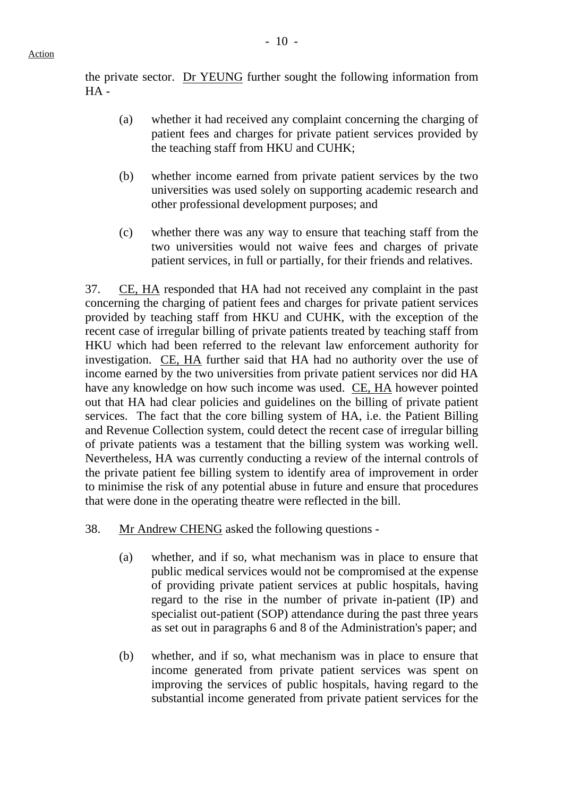the private sector. Dr YEUNG further sought the following information from  $HA -$ 

- (a) whether it had received any complaint concerning the charging of patient fees and charges for private patient services provided by the teaching staff from HKU and CUHK;
- (b) whether income earned from private patient services by the two universities was used solely on supporting academic research and other professional development purposes; and
- (c) whether there was any way to ensure that teaching staff from the two universities would not waive fees and charges of private patient services, in full or partially, for their friends and relatives.

37. CE, HA responded that HA had not received any complaint in the past concerning the charging of patient fees and charges for private patient services provided by teaching staff from HKU and CUHK, with the exception of the recent case of irregular billing of private patients treated by teaching staff from HKU which had been referred to the relevant law enforcement authority for investigation. CE, HA further said that HA had no authority over the use of income earned by the two universities from private patient services nor did HA have any knowledge on how such income was used. CE, HA however pointed out that HA had clear policies and guidelines on the billing of private patient services. The fact that the core billing system of HA, i.e. the Patient Billing and Revenue Collection system, could detect the recent case of irregular billing of private patients was a testament that the billing system was working well. Nevertheless, HA was currently conducting a review of the internal controls of the private patient fee billing system to identify area of improvement in order to minimise the risk of any potential abuse in future and ensure that procedures that were done in the operating theatre were reflected in the bill.

- 38. Mr Andrew CHENG asked the following questions
	- (a) whether, and if so, what mechanism was in place to ensure that public medical services would not be compromised at the expense of providing private patient services at public hospitals, having regard to the rise in the number of private in-patient (IP) and specialist out-patient (SOP) attendance during the past three years as set out in paragraphs 6 and 8 of the Administration's paper; and
	- (b) whether, and if so, what mechanism was in place to ensure that income generated from private patient services was spent on improving the services of public hospitals, having regard to the substantial income generated from private patient services for the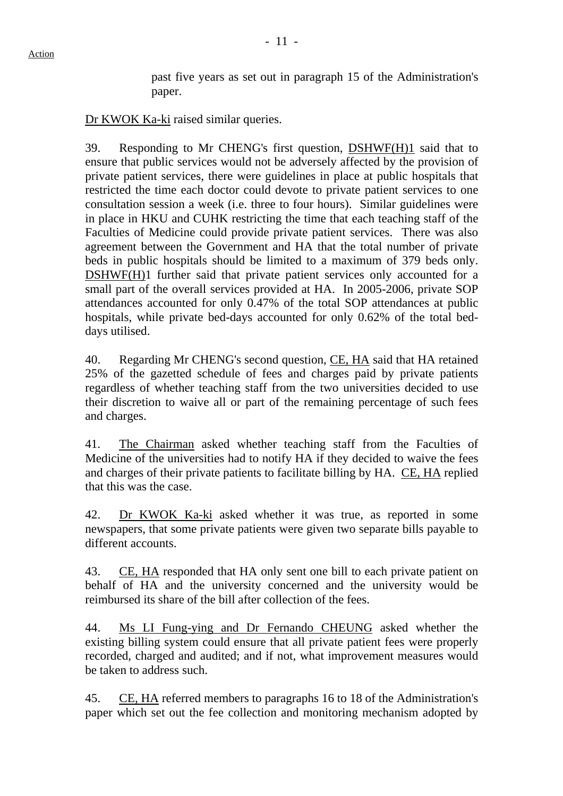past five years as set out in paragraph 15 of the Administration's paper.

Dr KWOK Ka-ki raised similar queries.

39. Responding to Mr CHENG's first question, DSHWF(H)1 said that to ensure that public services would not be adversely affected by the provision of private patient services, there were guidelines in place at public hospitals that restricted the time each doctor could devote to private patient services to one consultation session a week (i.e. three to four hours). Similar guidelines were in place in HKU and CUHK restricting the time that each teaching staff of the Faculties of Medicine could provide private patient services. There was also agreement between the Government and HA that the total number of private beds in public hospitals should be limited to a maximum of 379 beds only. DSHWF(H)1 further said that private patient services only accounted for a small part of the overall services provided at HA. In 2005-2006, private SOP attendances accounted for only 0.47% of the total SOP attendances at public hospitals, while private bed-days accounted for only 0.62% of the total beddays utilised.

40. Regarding Mr CHENG's second question, CE, HA said that HA retained 25% of the gazetted schedule of fees and charges paid by private patients regardless of whether teaching staff from the two universities decided to use their discretion to waive all or part of the remaining percentage of such fees and charges.

41. The Chairman asked whether teaching staff from the Faculties of Medicine of the universities had to notify HA if they decided to waive the fees and charges of their private patients to facilitate billing by HA. CE, HA replied that this was the case.

42. Dr KWOK Ka-ki asked whether it was true, as reported in some newspapers, that some private patients were given two separate bills payable to different accounts.

43. CE, HA responded that HA only sent one bill to each private patient on behalf of HA and the university concerned and the university would be reimbursed its share of the bill after collection of the fees.

44. Ms LI Fung-ying and Dr Fernando CHEUNG asked whether the existing billing system could ensure that all private patient fees were properly recorded, charged and audited; and if not, what improvement measures would be taken to address such.

45. CE, HA referred members to paragraphs 16 to 18 of the Administration's paper which set out the fee collection and monitoring mechanism adopted by